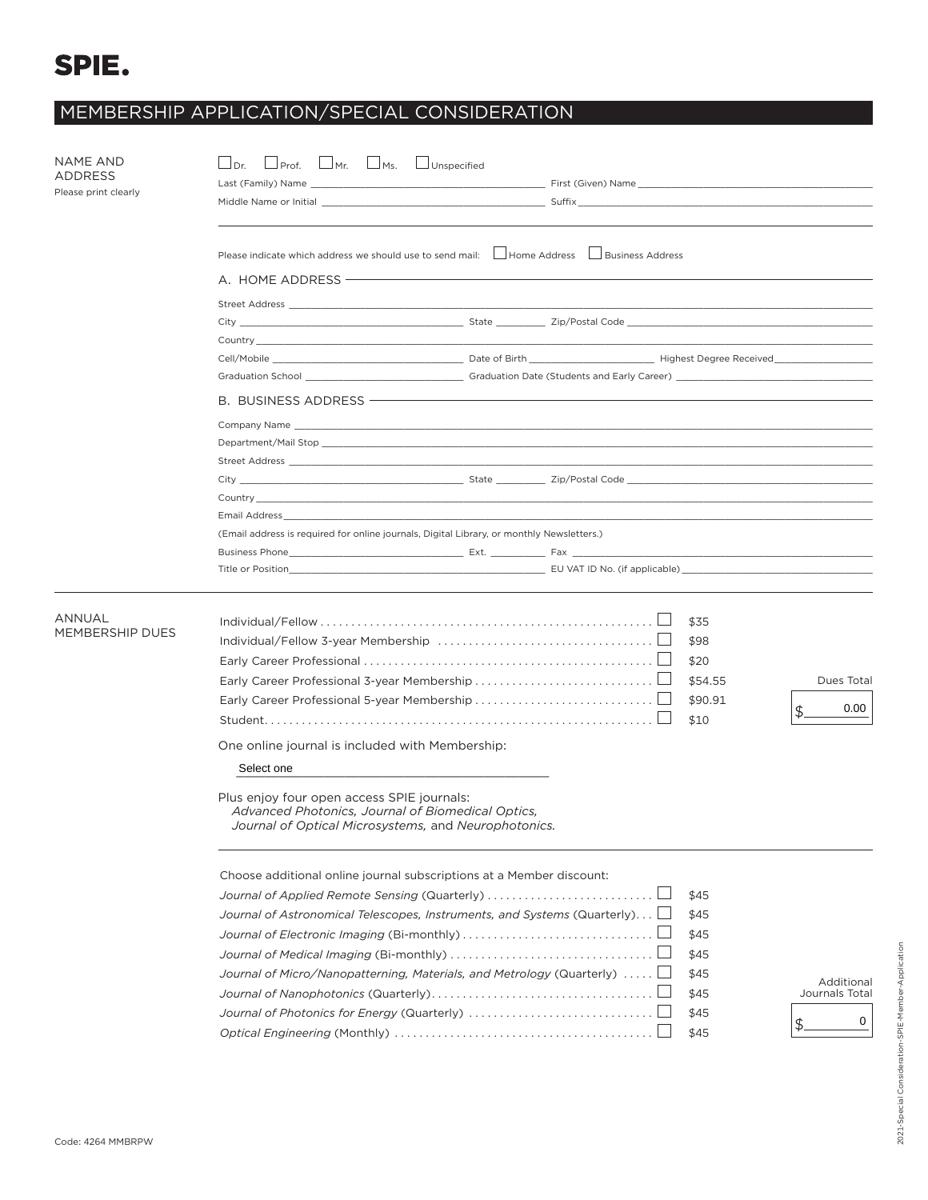## SPIE.

## MEMBERSHIP APPLICATION/SPECIAL CONSIDERATION

| NAME AND<br>ADDRESS<br>Please print clearly | $\Box$ Prof. $\Box$ Mr. $\Box$ Ms.<br>$\Box$ Dr.<br>Middle Name or Initial <b>All and Contract Contract Contract Contract Contract Contract Contract Contract Contract Contract Contract Contract Contract Contract Contract Contract Contract Contract Contract Contract Contract C</b>               | Unspecified |                               |                                                              |                                         |  |
|---------------------------------------------|--------------------------------------------------------------------------------------------------------------------------------------------------------------------------------------------------------------------------------------------------------------------------------------------------------|-------------|-------------------------------|--------------------------------------------------------------|-----------------------------------------|--|
|                                             | Please indicate which address we should use to send mail: Labore Address Lausiness Address<br>A. HOME ADDRESS ————                                                                                                                                                                                     |             |                               |                                                              |                                         |  |
|                                             | Country <b>Countries and Countries and Countries and Countries and Countries and Countries and Countries and Countries and Countries and Countries and Countries and Countries and Countries and Countries and Countries and Cou</b>                                                                   |             |                               |                                                              |                                         |  |
|                                             |                                                                                                                                                                                                                                                                                                        |             |                               |                                                              |                                         |  |
|                                             | B. BUSINESS ADDRESS <b>CONSTRUSTED</b>                                                                                                                                                                                                                                                                 |             |                               |                                                              |                                         |  |
|                                             | Email Address <b>Executive Contract Contract Contract Contract Contract Contract Contract Contract Contract Contract Contract Contract Contract Contract Contract Contract Contract Contract Contract Contract Contract Contract</b>                                                                   |             |                               |                                                              |                                         |  |
|                                             | (Email address is required for online journals, Digital Library, or monthly Newsletters.)<br>Title or Position                                                                                                                                                                                         |             | EU VAT ID No. (if applicable) |                                                              |                                         |  |
| ANNUAL<br>MEMBERSHIP DUES                   |                                                                                                                                                                                                                                                                                                        |             |                               | \$35<br>\$98<br>\$20<br>\$54.55<br>\$90.91<br>\$10           | Dues Total<br>0.00<br>\$.               |  |
|                                             | One online journal is included with Membership:<br>Select one                                                                                                                                                                                                                                          |             |                               |                                                              |                                         |  |
|                                             | Plus enjoy four open access SPIE journals:<br>Advanced Photonics, Journal of Biomedical Optics,<br>Journal of Optical Microsystems, and Neurophotonics.                                                                                                                                                |             |                               |                                                              |                                         |  |
|                                             | Choose additional online journal subscriptions at a Member discount:<br>Journal of Applied Remote Sensing (Quarterly)<br>Journal of Astronomical Telescopes, Instruments, and Systems (Quarterly) $\Box$<br>Journal of Micro/Nanopatterning, Materials, and Metrology (Quarterly) $\,\dots\,$ . $\Box$ |             |                               | \$45<br>\$45<br>\$45<br>\$45<br>\$45<br>\$45<br>\$45<br>\$45 | Additional<br>Journals Total<br>0<br>\$ |  |